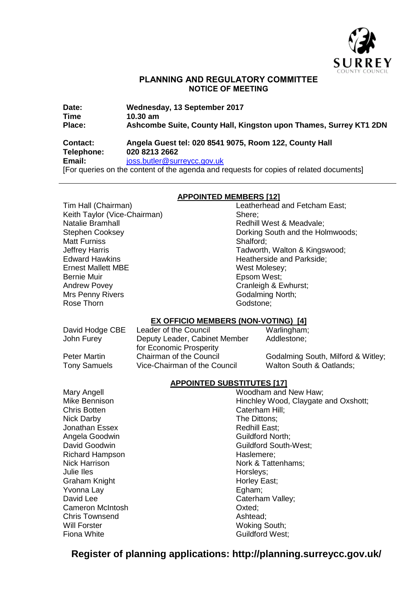

# **PLANNING AND REGULATORY COMMITTEE NOTICE OF MEETING**

| Date:         | Wednesday, 13 September 2017                                      |
|---------------|-------------------------------------------------------------------|
| <b>Time</b>   | $10.30 \text{ am}$                                                |
| <b>Place:</b> | Ashcombe Suite, County Hall, Kingston upon Thames, Surrey KT1 2DN |

# **Contact: Angela Guest tel: 020 8541 9075, Room 122, County Hall Telephone: 020 8213 2662 Email:** joss.butler@surreycc.gov.uk

[For queries on the content of the agenda and requests for copies of related documents]

# **APPOINTED MEMBERS [12]**

Keith Taylor (Vice-Chairman) Shere: Natalie Bramhall **Natalie Bramhall** Natalie Redhill West & Meadvale; Matt Furniss **Shalford**: Ernest Mallett MBE West Molesey: Bernie Muir **Epsom West**; Andrew Povey **Cranleigh & Ewhurst**; Mrs Penny Rivers **Godalming North**; Rose Thorn **Godstone**; **Contained Bookstone**; **Contained Bookstone**; **Contained Bookstone**;

Tim Hall (Chairman) Leatherhead and Fetcham East; Stephen Cooksey Dorking South and the Holmwoods; Jeffrey Harris **Tadworth, Walton & Kingswood**;<br>Edward Hawkins **Tadworth, Walton & Kingswood**; Heatherside and Parkside;

# **EX OFFICIO MEMBERS (NON-VOTING) [4]**

| David Hodge CBE     | Leader of the Council         | Warlingham;                        |
|---------------------|-------------------------------|------------------------------------|
| John Furey          | Deputy Leader, Cabinet Member | Addlestone;                        |
|                     | for Economic Prosperity       |                                    |
| <b>Peter Martin</b> | Chairman of the Council       | Godalming South, Milford & Witley; |
| <b>Tony Samuels</b> | Vice-Chairman of the Council  | Walton South & Oatlands;           |

# **APPOINTED SUBSTITUTES [17]**

Mary Angell Mary Angell Mary Angell Mary Angell Mary Moodham and New Haw; Mike Bennison **Mike Bennison** Hinchley Wood, Claygate and Oxshott; Chris Botten **Chris Botten** Chris Botten **Cater** Cater Cater Cater Cater **Cater** Cater **Cater** Cater **Cater** Cater **Cater** Cater **Cater** Cater **Cater** Cater **Cater** Cater **Cater** Cater **Cater** Cater **Cater** Cater **Cater** C Nick Darby **The Dittons**; Jonathan Essex **Redhill East**; **Redhill East**; Angela Goodwin Guildford North; David Goodwin Guildford South-West: Richard Hampson **Haslemere**: Nick Harrison Nork & Tattenhams;<br>
Julie Iles<br>
Horslevs: Horsleys; Graham Knight **Horley East; Horley East**; Yvonna Lay **Egham**; David Lee Caterham Valley; Cameron McIntosh **Cameron McIntosh** Cameron Oxted; Chris Townsend **Ashtead**: Will Forster Woking South; Fiona White **Fiona** White **Guildford West:** 

# **Register of planning applications: http://planning.surreycc.gov.uk/**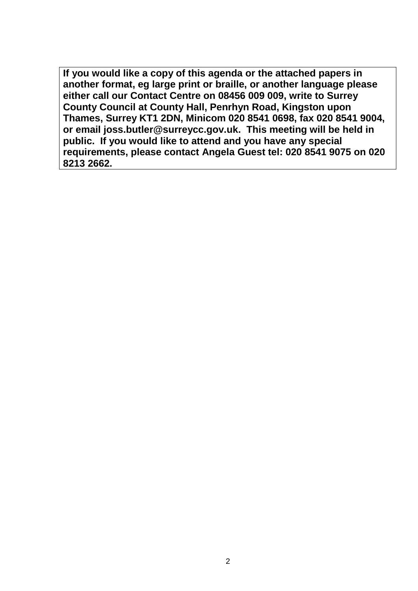**If you would like a copy of this agenda or the attached papers in another format, eg large print or braille, or another language please either call our Contact Centre on 08456 009 009, write to Surrey County Council at County Hall, Penrhyn Road, Kingston upon Thames, Surrey KT1 2DN, Minicom 020 8541 0698, fax 020 8541 9004, or email joss.butler@surreycc.gov.uk. This meeting will be held in public. If you would like to attend and you have any special requirements, please contact Angela Guest tel: 020 8541 9075 on 020 8213 2662.**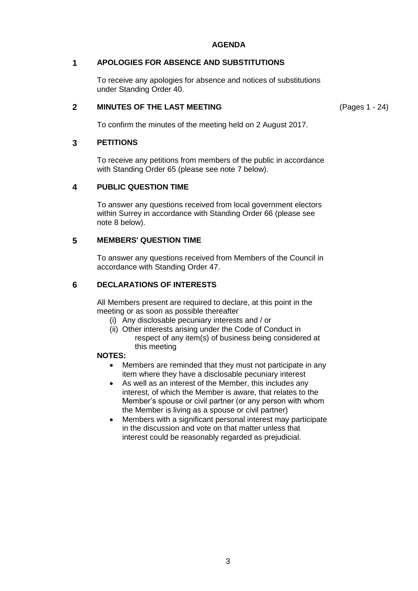# **AGENDA**

# **1 APOLOGIES FOR ABSENCE AND SUBSTITUTIONS**

To receive any apologies for absence and notices of substitutions under Standing Order 40.

## **2 MINUTES OF THE LAST MEETING**

(Pages 1 - 24)

To confirm the minutes of the meeting held on 2 August 2017.

## **3 PETITIONS**

To receive any petitions from members of the public in accordance with Standing Order 65 (please see note 7 below).

# **4 PUBLIC QUESTION TIME**

To answer any questions received from local government electors within Surrey in accordance with Standing Order 66 (please see note 8 below).

## **5 MEMBERS' QUESTION TIME**

To answer any questions received from Members of the Council in accordance with Standing Order 47.

# **6 DECLARATIONS OF INTERESTS**

All Members present are required to declare, at this point in the meeting or as soon as possible thereafter

- (i) Any disclosable pecuniary interests and / or
- (ii) Other interests arising under the Code of Conduct in respect of any item(s) of business being considered at this meeting

#### **NOTES:**

- Members are reminded that they must not participate in any item where they have a disclosable pecuniary interest
- As well as an interest of the Member, this includes any interest, of which the Member is aware, that relates to the Member's spouse or civil partner (or any person with whom the Member is living as a spouse or civil partner)
- Members with a significant personal interest may participate in the discussion and vote on that matter unless that interest could be reasonably regarded as prejudicial.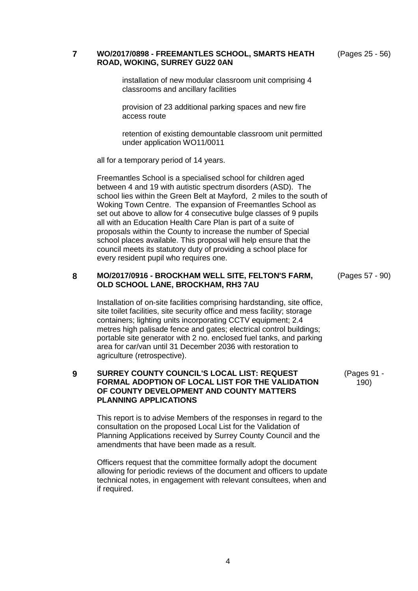**7 WO/2017/0898 - FREEMANTLES SCHOOL, SMARTS HEATH ROAD, WOKING, SURREY GU22 0AN**

(Pages 25 - 56)

installation of new modular classroom unit comprising 4 classrooms and ancillary facilities

provision of 23 additional parking spaces and new fire access route

retention of existing demountable classroom unit permitted under application WO11/0011

all for a temporary period of 14 years.

Freemantles School is a specialised school for children aged between 4 and 19 with autistic spectrum disorders (ASD). The school lies within the Green Belt at Mayford, 2 miles to the south of Woking Town Centre. The expansion of Freemantles School as set out above to allow for 4 consecutive bulge classes of 9 pupils all with an Education Health Care Plan is part of a suite of proposals within the County to increase the number of Special school places available. This proposal will help ensure that the council meets its statutory duty of providing a school place for every resident pupil who requires one.

#### **8 MO/2017/0916 - BROCKHAM WELL SITE, FELTON'S FARM, OLD SCHOOL LANE, BROCKHAM, RH3 7AU**

Installation of on-site facilities comprising hardstanding, site office, site toilet facilities, site security office and mess facility; storage containers; lighting units incorporating CCTV equipment; 2.4 metres high palisade fence and gates; electrical control buildings; portable site generator with 2 no. enclosed fuel tanks, and parking area for car/van until 31 December 2036 with restoration to agriculture (retrospective).

#### **9 SURREY COUNTY COUNCIL'S LOCAL LIST: REQUEST FORMAL ADOPTION OF LOCAL LIST FOR THE VALIDATION OF COUNTY DEVELOPMENT AND COUNTY MATTERS PLANNING APPLICATIONS**

This report is to advise Members of the responses in regard to the consultation on the proposed Local List for the Validation of Planning Applications received by Surrey County Council and the amendments that have been made as a result.

Officers request that the committee formally adopt the document allowing for periodic reviews of the document and officers to update technical notes, in engagement with relevant consultees, when and if required.

(Pages 57 - 90)

(Pages 91 - 190)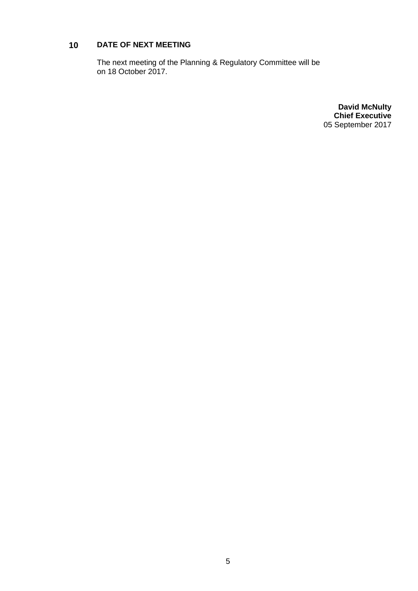# **10 DATE OF NEXT MEETING**

The next meeting of the Planning & Regulatory Committee will be on 18 October 2017.

> **David McNulty Chief Executive** 05 September 2017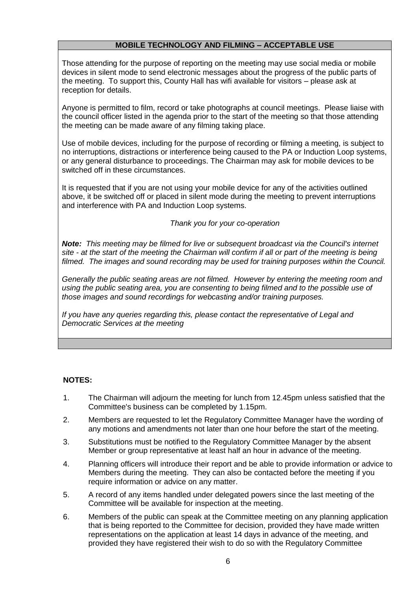# **MOBILE TECHNOLOGY AND FILMING – ACCEPTABLE USE**

Those attending for the purpose of reporting on the meeting may use social media or mobile devices in silent mode to send electronic messages about the progress of the public parts of the meeting. To support this, County Hall has wifi available for visitors – please ask at reception for details.

Anyone is permitted to film, record or take photographs at council meetings. Please liaise with the council officer listed in the agenda prior to the start of the meeting so that those attending the meeting can be made aware of any filming taking place.

Use of mobile devices, including for the purpose of recording or filming a meeting, is subject to no interruptions, distractions or interference being caused to the PA or Induction Loop systems, or any general disturbance to proceedings. The Chairman may ask for mobile devices to be switched off in these circumstances.

It is requested that if you are not using your mobile device for any of the activities outlined above, it be switched off or placed in silent mode during the meeting to prevent interruptions and interference with PA and Induction Loop systems.

# *Thank you for your co-operation*

*Note: This meeting may be filmed for live or subsequent broadcast via the Council's internet site - at the start of the meeting the Chairman will confirm if all or part of the meeting is being filmed. The images and sound recording may be used for training purposes within the Council.*

*Generally the public seating areas are not filmed. However by entering the meeting room and using the public seating area, you are consenting to being filmed and to the possible use of those images and sound recordings for webcasting and/or training purposes.* 

*If you have any queries regarding this, please contact the representative of Legal and Democratic Services at the meeting*

# **NOTES:**

- 1. The Chairman will adjourn the meeting for lunch from 12.45pm unless satisfied that the Committee's business can be completed by 1.15pm.
- 2. Members are requested to let the Regulatory Committee Manager have the wording of any motions and amendments not later than one hour before the start of the meeting.
- 3. Substitutions must be notified to the Regulatory Committee Manager by the absent Member or group representative at least half an hour in advance of the meeting.
- 4. Planning officers will introduce their report and be able to provide information or advice to Members during the meeting. They can also be contacted before the meeting if you require information or advice on any matter.
- 5. A record of any items handled under delegated powers since the last meeting of the Committee will be available for inspection at the meeting.
- 6. Members of the public can speak at the Committee meeting on any planning application that is being reported to the Committee for decision, provided they have made written representations on the application at least 14 days in advance of the meeting, and provided they have registered their wish to do so with the Regulatory Committee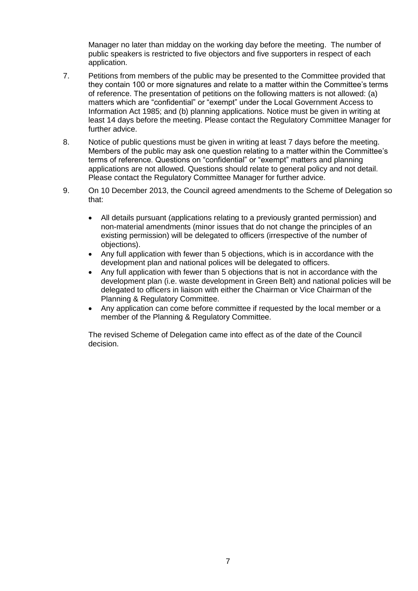Manager no later than midday on the working day before the meeting. The number of public speakers is restricted to five objectors and five supporters in respect of each application.

- 7. Petitions from members of the public may be presented to the Committee provided that they contain 100 or more signatures and relate to a matter within the Committee's terms of reference. The presentation of petitions on the following matters is not allowed: (a) matters which are "confidential" or "exempt" under the Local Government Access to Information Act 1985; and (b) planning applications. Notice must be given in writing at least 14 days before the meeting. Please contact the Regulatory Committee Manager for further advice.
- 8. Notice of public questions must be given in writing at least 7 days before the meeting. Members of the public may ask one question relating to a matter within the Committee's terms of reference. Questions on "confidential" or "exempt" matters and planning applications are not allowed. Questions should relate to general policy and not detail. Please contact the Regulatory Committee Manager for further advice.
- 9. On 10 December 2013, the Council agreed amendments to the Scheme of Delegation so that:
	- All details pursuant (applications relating to a previously granted permission) and non-material amendments (minor issues that do not change the principles of an existing permission) will be delegated to officers (irrespective of the number of objections).
	- Any full application with fewer than 5 objections, which is in accordance with the development plan and national polices will be delegated to officers.
	- Any full application with fewer than 5 objections that is not in accordance with the development plan (i.e. waste development in Green Belt) and national policies will be delegated to officers in liaison with either the Chairman or Vice Chairman of the Planning & Regulatory Committee.
	- Any application can come before committee if requested by the local member or a member of the Planning & Regulatory Committee.

The revised Scheme of Delegation came into effect as of the date of the Council decision.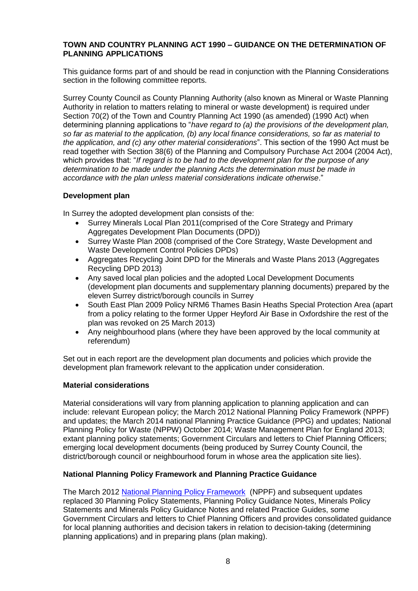# **TOWN AND COUNTRY PLANNING ACT 1990 – GUIDANCE ON THE DETERMINATION OF PLANNING APPLICATIONS**

This guidance forms part of and should be read in conjunction with the Planning Considerations section in the following committee reports.

Surrey County Council as County Planning Authority (also known as Mineral or Waste Planning Authority in relation to matters relating to mineral or waste development) is required under Section 70(2) of the Town and Country Planning Act 1990 (as amended) (1990 Act) when determining planning applications to "*have regard to (a) the provisions of the development plan, so far as material to the application, (b) any local finance considerations, so far as material to the application, and (c) any other material considerations*". This section of the 1990 Act must be read together with Section 38(6) of the Planning and Compulsory Purchase Act 2004 (2004 Act), which provides that: "*If regard is to be had to the development plan for the purpose of any determination to be made under the planning Acts the determination must be made in accordance with the plan unless material considerations indicate otherwise*."

# **Development plan**

In Surrey the adopted development plan consists of the:

- Surrey Minerals Local Plan 2011(comprised of the Core Strategy and Primary Aggregates Development Plan Documents (DPD))
- Surrey Waste Plan 2008 (comprised of the Core Strategy, Waste Development and Waste Development Control Policies DPDs)
- Aggregates Recycling Joint DPD for the Minerals and Waste Plans 2013 (Aggregates Recycling DPD 2013)
- Any saved local plan policies and the adopted Local Development Documents (development plan documents and supplementary planning documents) prepared by the eleven Surrey district/borough councils in Surrey
- South East Plan 2009 Policy NRM6 Thames Basin Heaths Special Protection Area (apart from a policy relating to the former Upper Heyford Air Base in Oxfordshire the rest of the plan was revoked on 25 March 2013)
- Any neighbourhood plans (where they have been approved by the local community at referendum)

Set out in each report are the development plan documents and policies which provide the development plan framework relevant to the application under consideration.

# **Material considerations**

Material considerations will vary from planning application to planning application and can include: relevant European policy; the March 2012 National Planning Policy Framework (NPPF) and updates; the March 2014 national Planning Practice Guidance (PPG) and updates; National Planning Policy for Waste (NPPW) October 2014; Waste Management Plan for England 2013; extant planning policy statements; Government Circulars and letters to Chief Planning Officers; emerging local development documents (being produced by Surrey County Council, the district/borough council or neighbourhood forum in whose area the application site lies).

# **National Planning Policy Framework and Planning Practice Guidance**

The March 2012 [National Planning Policy Framework](http://planningguidance.communities.gov.uk/) (NPPF) and subsequent updates replaced 30 Planning Policy Statements, Planning Policy Guidance Notes, Minerals Policy Statements and Minerals Policy Guidance Notes and related Practice Guides, some Government Circulars and letters to Chief Planning Officers and provides consolidated guidance for local planning authorities and decision takers in relation to decision-taking (determining planning applications) and in preparing plans (plan making).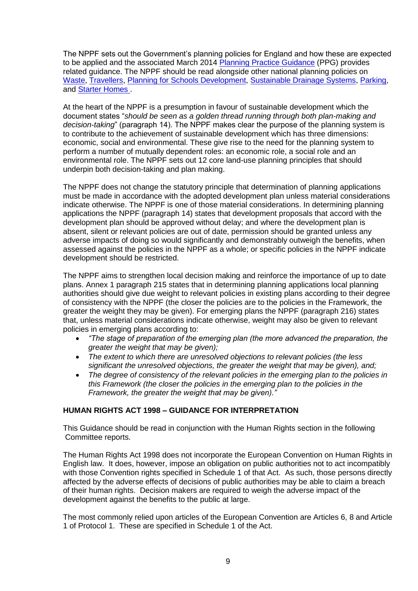The NPPF sets out the Government's planning policies for England and how these are expected to be applied and the associated March 2014 [Planning Practice Guidance](http://planningguidance.communities.gov.uk/) (PPG) provides related guidance. The NPPF should be read alongside other national planning policies on [Waste,](https://www.gov.uk/government/publications/national-planning-policy-for-waste) [Travellers,](https://www.gov.uk/government/uploads/system/uploads/attachment_data/file/6078/2113371.pdf) [Planning for Schools Development,](https://www.gov.uk/government/uploads/system/uploads/attachment_data/file/6316/1966097.pdf) [Sustainable Drainage Systems,](http://www.parliament.uk/documents/commons-vote-office/December%202014/18%20December/6.%20DCLG-sustainable-drainage-systems.pdf) [Parking,](http://www.parliament.uk/business/publications/written-questions-answers-statements/written-statement/Commons/2015-03-25/HCWS488/) and [Starter Homes .](http://www.parliament.uk/business/publications/written-questions-answers-statements/written-statement/Commons/2015-03-02/HCWS324/)

At the heart of the NPPF is a presumption in favour of sustainable development which the document states "*should be seen as a golden thread running through both plan-making and decision-taking*" (paragraph 14). The NPPF makes clear the purpose of the planning system is to contribute to the achievement of sustainable development which has three dimensions: economic, social and environmental. These give rise to the need for the planning system to perform a number of mutually dependent roles: an economic role, a social role and an environmental role. The NPPF sets out 12 core land-use planning principles that should underpin both decision-taking and plan making.

The NPPF does not change the statutory principle that determination of planning applications must be made in accordance with the adopted development plan unless material considerations indicate otherwise. The NPPF is one of those material considerations. In determining planning applications the NPPF (paragraph 14) states that development proposals that accord with the development plan should be approved without delay; and where the development plan is absent, silent or relevant policies are out of date, permission should be granted unless any adverse impacts of doing so would significantly and demonstrably outweigh the benefits, when assessed against the policies in the NPPF as a whole; or specific policies in the NPPF indicate development should be restricted.

The NPPF aims to strengthen local decision making and reinforce the importance of up to date plans. Annex 1 paragraph 215 states that in determining planning applications local planning authorities should give due weight to relevant policies in existing plans according to their degree of consistency with the NPPF (the closer the policies are to the policies in the Framework, the greater the weight they may be given). For emerging plans the NPPF (paragraph 216) states that, unless material considerations indicate otherwise, weight may also be given to relevant policies in emerging plans according to:

- *"The stage of preparation of the emerging plan (the more advanced the preparation, the greater the weight that may be given);*
- *The extent to which there are unresolved objections to relevant policies (the less significant the unresolved objections, the greater the weight that may be given), and;*
- *The degree of consistency of the relevant policies in the emerging plan to the policies in this Framework (the closer the policies in the emerging plan to the policies in the Framework, the greater the weight that may be given)."*

# **HUMAN RIGHTS ACT 1998 – GUIDANCE FOR INTERPRETATION**

This Guidance should be read in conjunction with the Human Rights section in the following Committee reports.

The Human Rights Act 1998 does not incorporate the European Convention on Human Rights in English law. It does, however, impose an obligation on public authorities not to act incompatibly with those Convention rights specified in Schedule 1 of that Act. As such, those persons directly affected by the adverse effects of decisions of public authorities may be able to claim a breach of their human rights. Decision makers are required to weigh the adverse impact of the development against the benefits to the public at large.

The most commonly relied upon articles of the European Convention are Articles 6, 8 and Article 1 of Protocol 1. These are specified in Schedule 1 of the Act.